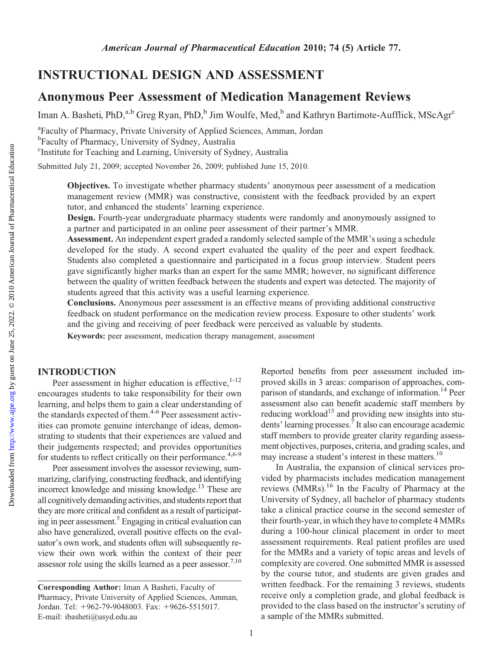<http://www.ajpe.org>

Downloaded from

## INSTRUCTIONAL DESIGN AND ASSESSMENT

# Anonymous Peer Assessment of Medication Management Reviews

Iman A. Basheti, PhD,<sup>a,b</sup> Greg Ryan, PhD,<sup>b</sup> Jim Woulfe, Med,<sup>b</sup> and Kathryn Bartimote-Aufflick, MScAgr<sup>c</sup>

<sup>a</sup> Faculty of Pharmacy, Private University of Applied Sciences, Amman, Jordan

<sup>b</sup>Faculty of Pharmacy, University of Sydney, Australia

c Institute for Teaching and Learning, University of Sydney, Australia

Submitted July 21, 2009; accepted November 26, 2009; published June 15, 2010.

Objectives. To investigate whether pharmacy students' anonymous peer assessment of a medication management review (MMR) was constructive, consistent with the feedback provided by an expert tutor, and enhanced the students' learning experience.

Design. Fourth-year undergraduate pharmacy students were randomly and anonymously assigned to a partner and participated in an online peer assessment of their partner's MMR.

Assessment. An independent expert graded a randomly selected sample of the MMR's using a schedule developed for the study. A second expert evaluated the quality of the peer and expert feedback. Students also completed a questionnaire and participated in a focus group interview. Student peers gave significantly higher marks than an expert for the same MMR; however, no significant difference between the quality of written feedback between the students and expert was detected. The majority of students agreed that this activity was a useful learning experience.

Conclusions. Anonymous peer assessment is an effective means of providing additional constructive feedback on student performance on the medication review process. Exposure to other students' work and the giving and receiving of peer feedback were perceived as valuable by students.

Keywords: peer assessment, medication therapy management, assessment

## INTRODUCTION

Peer assessment in higher education is effective, $1-12$ encourages students to take responsibility for their own learning, and helps them to gain a clear understanding of the standards expected of them.<sup>4-6</sup> Peer assessment activities can promote genuine interchange of ideas, demonstrating to students that their experiences are valued and their judgements respected; and provides opportunities for students to reflect critically on their performance.<sup>4,6-9</sup>

Peer assessment involves the assessor reviewing, summarizing, clarifying, constructing feedback, and identifying incorrect knowledge and missing knowledge.<sup>13</sup> These are all cognitively demanding activities, and students report that they are more critical and confident as a result of participating in peer assessment.<sup>5</sup> Engaging in critical evaluation can also have generalized, overall positive effects on the evaluator's own work, and students often will subsequently review their own work within the context of their peer assessor role using the skills learned as a peer assessor.<sup>7,10</sup>

Reported benefits from peer assessment included improved skills in 3 areas: comparison of approaches, comparison of standards, and exchange of information.<sup>14</sup> Peer assessment also can benefit academic staff members by reducing workload $15$  and providing new insights into students' learning processes.<sup>7</sup> It also can encourage academic staff members to provide greater clarity regarding assessment objectives, purposes, criteria, and grading scales, and may increase a student's interest in these matters.<sup>10</sup>

In Australia, the expansion of clinical services provided by pharmacists includes medication management reviews (MMRs).16 In the Faculty of Pharmacy at the University of Sydney, all bachelor of pharmacy students take a clinical practice course in the second semester of their fourth-year, in which they have to complete 4 MMRs during a 100-hour clinical placement in order to meet assessment requirements. Real patient profiles are used for the MMRs and a variety of topic areas and levels of complexity are covered. One submitted MMR is assessed by the course tutor, and students are given grades and written feedback. For the remaining 3 reviews, students receive only a completion grade, and global feedback is provided to the class based on the instructor's scrutiny of a sample of the MMRs submitted.

Corresponding Author: Iman A Basheti, Faculty of Pharmacy, Private University of Applied Sciences, Amman, Jordan. Tel: +962-79-9048003. Fax: +9626-5515017. E-mail: ibasheti@usyd.edu.au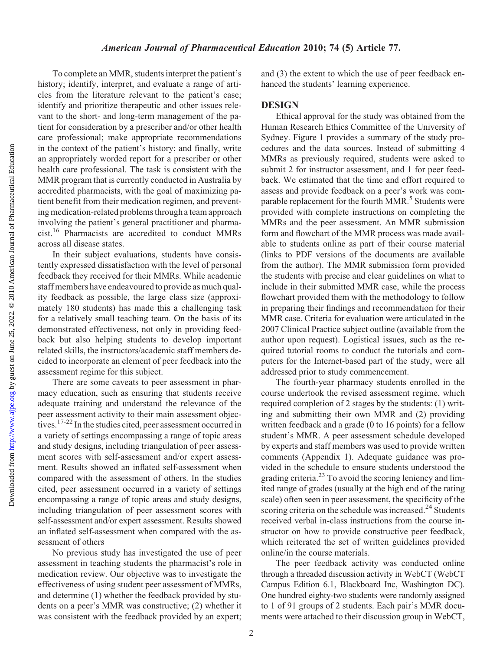To complete an MMR, students interpret the patient's history; identify, interpret, and evaluate a range of articles from the literature relevant to the patient's case; identify and prioritize therapeutic and other issues relevant to the short- and long-term management of the patient for consideration by a prescriber and/or other health care professional; make appropriate recommendations in the context of the patient's history; and finally, write an appropriately worded report for a prescriber or other health care professional. The task is consistent with the MMR program that is currently conducted in Australia by accredited pharmacists, with the goal of maximizing patient benefit from their medication regimen, and preventing medication-related problems through a team approach involving the patient's general practitioner and pharmacist.<sup>16</sup> Pharmacists are accredited to conduct MMRs across all disease states.

In their subject evaluations, students have consistently expressed dissatisfaction with the level of personal feedback they received for their MMRs. While academic staff members have endeavoured to provide as much quality feedback as possible, the large class size (approximately 180 students) has made this a challenging task for a relatively small teaching team. On the basis of its demonstrated effectiveness, not only in providing feedback but also helping students to develop important related skills, the instructors/academic staff members decided to incorporate an element of peer feedback into the assessment regime for this subject.

There are some caveats to peer assessment in pharmacy education, such as ensuring that students receive adequate training and understand the relevance of the peer assessment activity to their main assessment objectives.<sup>17-22</sup> In the studies cited, peer assessment occurred in a variety of settings encompassing a range of topic areas and study designs, including triangulation of peer assessment scores with self-assessment and/or expert assessment. Results showed an inflated self-assessment when compared with the assessment of others. In the studies cited, peer assessment occurred in a variety of settings encompassing a range of topic areas and study designs, including triangulation of peer assessment scores with self-assessment and/or expert assessment. Results showed an inflated self-assessment when compared with the assessment of others

No previous study has investigated the use of peer assessment in teaching students the pharmacist's role in medication review. Our objective was to investigate the effectiveness of using student peer assessment of MMRs, and determine (1) whether the feedback provided by students on a peer's MMR was constructive; (2) whether it was consistent with the feedback provided by an expert;

and (3) the extent to which the use of peer feedback enhanced the students' learning experience.

## DESIGN

Ethical approval for the study was obtained from the Human Research Ethics Committee of the University of Sydney. Figure 1 provides a summary of the study procedures and the data sources. Instead of submitting 4 MMRs as previously required, students were asked to submit 2 for instructor assessment, and 1 for peer feedback. We estimated that the time and effort required to assess and provide feedback on a peer's work was comparable replacement for the fourth MMR.<sup>5</sup> Students were provided with complete instructions on completing the MMRs and the peer assessment. An MMR submission form and flowchart of the MMR process was made available to students online as part of their course material (links to PDF versions of the documents are available from the author). The MMR submission form provided the students with precise and clear guidelines on what to include in their submitted MMR case, while the process flowchart provided them with the methodology to follow in preparing their findings and recommendation for their MMR case. Criteria for evaluation were articulated in the 2007 Clinical Practice subject outline (available from the author upon request). Logistical issues, such as the required tutorial rooms to conduct the tutorials and computers for the Internet-based part of the study, were all addressed prior to study commencement.

The fourth-year pharmacy students enrolled in the course undertook the revised assessment regime, which required completion of 2 stages by the students: (1) writing and submitting their own MMR and (2) providing written feedback and a grade (0 to 16 points) for a fellow student's MMR. A peer assessment schedule developed by experts and staff members was used to provide written comments (Appendix 1). Adequate guidance was provided in the schedule to ensure students understood the grading criteria.<sup>23</sup> To avoid the scoring leniency and limited range of grades (usually at the high end of the rating scale) often seen in peer assessment, the specificity of the scoring criteria on the schedule was increased.<sup>24</sup> Students received verbal in-class instructions from the course instructor on how to provide constructive peer feedback, which reiterated the set of written guidelines provided online/in the course materials.

The peer feedback activity was conducted online through a threaded discussion activity in WebCT (WebCT Campus Edition 6.1, Blackboard Inc, Washington DC). One hundred eighty-two students were randomly assigned to 1 of 91 groups of 2 students. Each pair's MMR documents were attached to their discussion group in WebCT,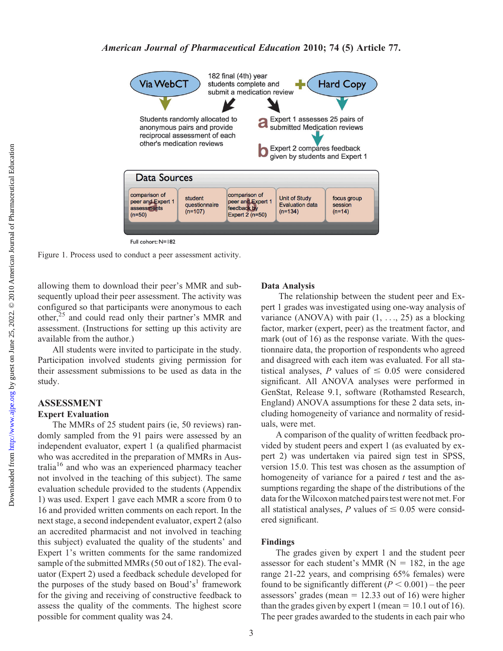

Figure 1. Process used to conduct a peer assessment activity.

allowing them to download their peer's MMR and subsequently upload their peer assessment. The activity was configured so that participants were anonymous to each other,25 and could read only their partner's MMR and assessment. (Instructions for setting up this activity are available from the author.)

All students were invited to participate in the study. Participation involved students giving permission for their assessment submissions to be used as data in the study.

## ASSESSMENT

## Expert Evaluation

The MMRs of 25 student pairs (ie, 50 reviews) randomly sampled from the 91 pairs were assessed by an independent evaluator, expert 1 (a qualified pharmacist who was accredited in the preparation of MMRs in Australia<sup>16</sup> and who was an experienced pharmacy teacher not involved in the teaching of this subject). The same evaluation schedule provided to the students (Appendix 1) was used. Expert 1 gave each MMR a score from 0 to 16 and provided written comments on each report. In the next stage, a second independent evaluator, expert 2 (also an accredited pharmacist and not involved in teaching this subject) evaluated the quality of the students' and Expert 1's written comments for the same randomized sample of the submitted MMRs (50 out of 182). The evaluator (Expert 2) used a feedback schedule developed for the purposes of the study based on Boud's<sup>1</sup> framework for the giving and receiving of constructive feedback to assess the quality of the comments. The highest score possible for comment quality was 24.

#### Data Analysis

The relationship between the student peer and Expert 1 grades was investigated using one-way analysis of variance (ANOVA) with pair  $(1, \ldots, 25)$  as a blocking factor, marker (expert, peer) as the treatment factor, and mark (out of 16) as the response variate. With the questionnaire data, the proportion of respondents who agreed and disagreed with each item was evaluated. For all statistical analyses, P values of  $\leq 0.05$  were considered significant. All ANOVA analyses were performed in GenStat, Release 9.1, software (Rothamsted Research, England) ANOVA assumptions for these 2 data sets, including homogeneity of variance and normality of residuals, were met.

A comparison of the quality of written feedback provided by student peers and expert 1 (as evaluated by expert 2) was undertaken via paired sign test in SPSS, version 15.0. This test was chosen as the assumption of homogeneity of variance for a paired  $t$  test and the assumptions regarding the shape of the distributions of the data for the Wilcoxon matched pairs test were not met. For all statistical analyses, P values of  $\leq 0.05$  were considered significant.

## Findings

The grades given by expert 1 and the student peer assessor for each student's MMR ( $N = 182$ , in the age range 21-22 years, and comprising 65% females) were found to be significantly different  $(P < 0.001)$  – the peer assessors' grades (mean  $= 12.33$  out of 16) were higher than the grades given by expert 1 (mean  $= 10.1$  out of 16). The peer grades awarded to the students in each pair who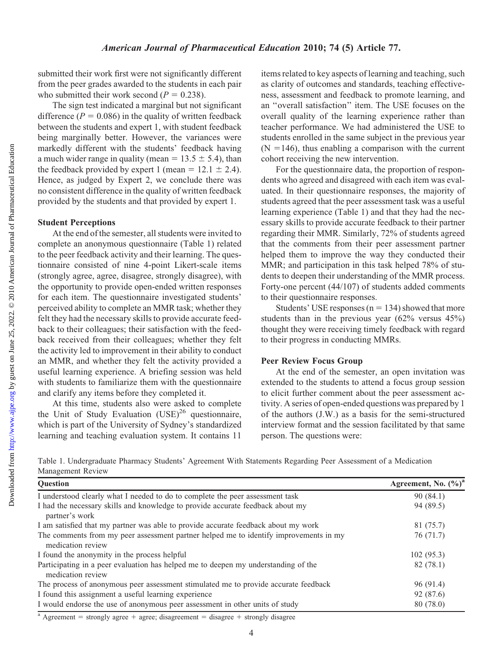submitted their work first were not significantly different from the peer grades awarded to the students in each pair who submitted their work second ( $P = 0.238$ ).

The sign test indicated a marginal but not significant difference ( $P = 0.086$ ) in the quality of written feedback between the students and expert 1, with student feedback being marginally better. However, the variances were markedly different with the students' feedback having a much wider range in quality (mean =  $13.5 \pm 5.4$ ), than the feedback provided by expert 1 (mean =  $12.1 \pm 2.4$ ). Hence, as judged by Expert 2, we conclude there was no consistent difference in the quality of written feedback provided by the students and that provided by expert 1.

#### Student Perceptions

At the end of the semester, all students were invited to complete an anonymous questionnaire (Table 1) related to the peer feedback activity and their learning. The questionnaire consisted of nine 4-point Likert-scale items (strongly agree, agree, disagree, strongly disagree), with the opportunity to provide open-ended written responses for each item. The questionnaire investigated students' perceived ability to complete an MMR task; whether they felt they had the necessary skills to provide accurate feedback to their colleagues; their satisfaction with the feedback received from their colleagues; whether they felt the activity led to improvement in their ability to conduct an MMR, and whether they felt the activity provided a useful learning experience. A briefing session was held with students to familiarize them with the questionnaire and clarify any items before they completed it.

At this time, students also were asked to complete the Unit of Study Evaluation  $(USE)^{26}$  questionnaire, which is part of the University of Sydney's standardized learning and teaching evaluation system. It contains 11

items related to key aspects of learning and teaching, such as clarity of outcomes and standards, teaching effectiveness, assessment and feedback to promote learning, and an ''overall satisfaction'' item. The USE focuses on the overall quality of the learning experience rather than teacher performance. We had administered the USE to students enrolled in the same subject in the previous year  $(N = 146)$ , thus enabling a comparison with the current cohort receiving the new intervention.

For the questionnaire data, the proportion of respondents who agreed and disagreed with each item was evaluated. In their questionnaire responses, the majority of students agreed that the peer assessment task was a useful learning experience (Table 1) and that they had the necessary skills to provide accurate feedback to their partner regarding their MMR. Similarly, 72% of students agreed that the comments from their peer assessment partner helped them to improve the way they conducted their MMR; and participation in this task helped 78% of students to deepen their understanding of the MMR process. Forty-one percent (44/107) of students added comments to their questionnaire responses.

Students' USE responses ( $n = 134$ ) showed that more students than in the previous year (62% versus 45%) thought they were receiving timely feedback with regard to their progress in conducting MMRs.

#### Peer Review Focus Group

At the end of the semester, an open invitation was extended to the students to attend a focus group session to elicit further comment about the peer assessment activity. A series of open-ended questions was prepared by 1 of the authors (J.W.) as a basis for the semi-structured interview format and the session facilitated by that same person. The questions were:

Table 1. Undergraduate Pharmacy Students' Agreement With Statements Regarding Peer Assessment of a Medication Management Review

| <b>Ouestion</b>                                                                                            | Agreement, No. $(\%)^a$ |
|------------------------------------------------------------------------------------------------------------|-------------------------|
| I understood clearly what I needed to do to complete the peer assessment task                              | 90(84.1)                |
| I had the necessary skills and knowledge to provide accurate feedback about my<br>partner's work           | 94 (89.5)               |
| I am satisfied that my partner was able to provide accurate feedback about my work                         | 81 (75.7)               |
| The comments from my peer assessment partner helped me to identify improvements in my<br>medication review | 76(71.7)                |
| I found the anonymity in the process helpful                                                               | 102(95.3)               |
| Participating in a peer evaluation has helped me to deepen my understanding of the<br>medication review    | 82 (78.1)               |
| The process of anonymous peer assessment stimulated me to provide accurate feedback                        | 96 (91.4)               |
| I found this assignment a useful learning experience                                                       | 92 (87.6)               |
| I would endorse the use of anonymous peer assessment in other units of study                               | 80(78.0)                |

<sup>a</sup> Agreement = strongly agree + agree; disagreement = disagree + strongly disagree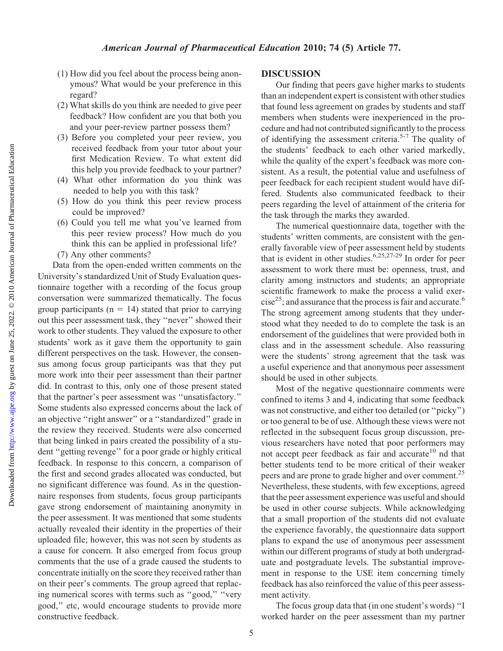#### American Journal of Pharmaceutical Education 2010; 74 (5) Article 77.

- (1) How did you feel about the process being anonymous? What would be your preference in this regard?
- (2) What skills do you think are needed to give peer feedback? How confident are you that both you and your peer-review partner possess them?
- (3) Before you completed your peer review, you received feedback from your tutor about your first Medication Review. To what extent did this help you provide feedback to your partner?
- (4) What other information do you think was needed to help you with this task?
- (5) How do you think this peer review process could be improved?
- (6) Could you tell me what you've learned from this peer review process? How much do you think this can be applied in professional life?
- (7) Any other comments?

Data from the open-ended written comments on the University's standardized Unit of Study Evaluation questionnaire together with a recording of the focus group conversation were summarized thematically. The focus group participants ( $n = 14$ ) stated that prior to carrying out this peer assessment task, they ''never'' showed their work to other students. They valued the exposure to other students' work as it gave them the opportunity to gain different perspectives on the task. However, the consensus among focus group participants was that they put more work into their peer assessment than their partner did. In contrast to this, only one of those present stated that the partner's peer assessment was ''unsatisfactory.'' Some students also expressed concerns about the lack of an objective ''right answer'' or a ''standardized'' grade in the review they received. Students were also concerned that being linked in pairs created the possibility of a student ''getting revenge'' for a poor grade or highly critical feedback. In response to this concern, a comparison of the first and second grades allocated was conducted, but no significant difference was found. As in the questionnaire responses from students, focus group participants gave strong endorsement of maintaining anonymity in the peer assessment. It was mentioned that some students actually revealed their identity in the properties of their uploaded file; however, this was not seen by students as a cause for concern. It also emerged from focus group comments that the use of a grade caused the students to concentrate initially on the score they received rather than on their peer's comments. The group agreed that replacing numerical scores with terms such as ''good,'' ''very good,'' etc, would encourage students to provide more constructive feedback.

## **DISCUSSION**

Our finding that peers gave higher marks to students than an independent expert is consistent with other studies that found less agreement on grades by students and staff members when students were inexperienced in the procedure and had not contributed significantly to the process of identifying the assessment criteria.5-7 The quality of the students' feedback to each other varied markedly, while the quality of the expert's feedback was more consistent. As a result, the potential value and usefulness of peer feedback for each recipient student would have differed. Students also communicated feedback to their peers regarding the level of attainment of the criteria for the task through the marks they awarded.

The numerical questionnaire data, together with the students' written comments, are consistent with the generally favorable view of peer assessment held by students that is evident in other studies.  $6,25,27-29$  In order for peer assessment to work there must be: openness, trust, and clarity among instructors and students; an appropriate scientific framework to make the process a valid exer- $\text{cise}^{25}$ ; and assurance that the process is fair and accurate.<sup>6</sup> The strong agreement among students that they understood what they needed to do to complete the task is an endorsement of the guidelines that were provided both in class and in the assessment schedule. Also reassuring were the students' strong agreement that the task was a useful experience and that anonymous peer assessment should be used in other subjects.

Most of the negative questionnaire comments were confined to items 3 and 4, indicating that some feedback was not constructive, and either too detailed (or ''picky'') or too general to be of use. Although these views were not reflected in the subsequent focus group discussion, previous researchers have noted that poor performers may not accept peer feedback as fair and accurate<sup>10</sup> nd that better students tend to be more critical of their weaker peers and are prone to grade higher and over comment.<sup>25</sup> Nevertheless, these students, with few exceptions, agreed that the peer assessment experience was useful and should be used in other course subjects. While acknowledging that a small proportion of the students did not evaluate the experience favorably, the questionnaire data support plans to expand the use of anonymous peer assessment within our different programs of study at both undergraduate and postgraduate levels. The substantial improvement in response to the USE item concerning timely feedback has also reinforced the value of this peer assessment activity.

The focus group data that (in one student's words) ''I worked harder on the peer assessment than my partner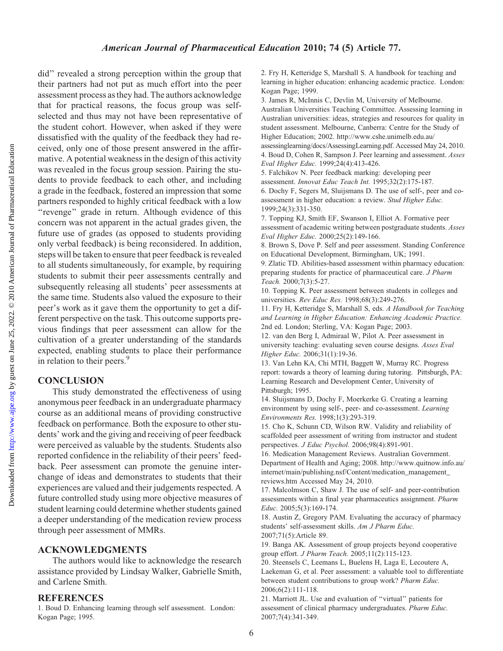Downloaded from

did'' revealed a strong perception within the group that their partners had not put as much effort into the peer assessment process as they had. The authors acknowledge that for practical reasons, the focus group was selfselected and thus may not have been representative of the student cohort. However, when asked if they were dissatisfied with the quality of the feedback they had received, only one of those present answered in the affirmative. A potential weakness in the design of this activity was revealed in the focus group session. Pairing the students to provide feedback to each other, and including a grade in the feedback, fostered an impression that some partners responded to highly critical feedback with a low "revenge" grade in return. Although evidence of this concern was not apparent in the actual grades given, the future use of grades (as opposed to students providing only verbal feedback) is being reconsidered. In addition, steps will be taken to ensure that peer feedback is revealed to all students simultaneously, for example, by requiring students to submit their peer assessments centrally and subsequently releasing all students' peer assessments at the same time. Students also valued the exposure to their peer's work as it gave them the opportunity to get a different perspective on the task. This outcome supports previous findings that peer assessment can allow for the cultivation of a greater understanding of the standards expected, enabling students to place their performance in relation to their peers.<sup>9</sup>

## **CONCLUSION**

This study demonstrated the effectiveness of using anonymous peer feedback in an undergraduate pharmacy course as an additional means of providing constructive feedback on performance. Both the exposure to other students' work and the giving and receiving of peer feedback were perceived as valuable by the students. Students also reported confidence in the reliability of their peers' feedback. Peer assessment can promote the genuine interchange of ideas and demonstrates to students that their experiences are valued and their judgements respected. A future controlled study using more objective measures of student learning could determine whether students gained a deeper understanding of the medication review process through peer assessment of MMRs.

## ACKNOWLEDGMENTS

The authors would like to acknowledge the research assistance provided by Lindsay Walker, Gabrielle Smith, and Carlene Smith.

### **REFERENCES**

1. Boud D. Enhancing learning through self assessment. London: Kogan Page; 1995.

2. Fry H, Ketteridge S, Marshall S. A handbook for teaching and learning in higher education: enhancing academic practice. London: Kogan Page; 1999.

3. James R, McInnis C, Devlin M, University of Melbourne. Australian Universities Teaching Committee. Assessing learning in Australian universities: ideas, strategies and resources for quality in student assessment. Melbourne, Canberra: Centre for the Study of Higher Education; 2002. http://www.cshe.unimelb.edu.au/

assessinglearning/docs/AssessingLearning.pdf. Accessed May 24, 2010. 4. Boud D, Cohen R, Sampson J. Peer learning and assessment. Asses Eval Higher Educ. 1999;24(4):413-426.

5. Falchikov N. Peer feedback marking: developing peer assessment. Innovat Educ Teach Int. 1995;32(2):175-187.

6. Dochy F, Segers M, Sluijsmans D. The use of self-, peer and coassessment in higher education: a review. Stud Higher Educ. 1999;24(3):331-350.

7. Topping KJ, Smith EF, Swanson I, Elliot A. Formative peer assessment of academic writing between postgraduate students. Asses Eval Higher Educ. 2000;25(2):149-166.

8. Brown S, Dove P. Self and peer assessment. Standing Conference on Educational Development, Birmingham, UK; 1991.

9. Zlatic TD. Abilities-based assessment within pharmacy education: preparing students for practice of pharmaceutical care. J Pharm Teach. 2000;7(3):5-27.

10. Topping K. Peer assessment between students in colleges and universities. Rev Educ Res. 1998;68(3):249-276.

11. Fry H, Ketteridge S, Marshall S, eds. A Handbook for Teaching and Learning in Higher Education: Enhancing Academic Practice. 2nd ed. London; Sterling, VA: Kogan Page; 2003.

12. van den Berg I, Admiraal W, Pilot A. Peer assessment in university teaching: evaluating seven course designs. Asses Eval Higher Educ. 2006;31(1):19-36.

13. Van Lehn KA, Chi MTH, Baggett W, Murray RC. Progress report: towards a theory of learning during tutoring. Pittsburgh, PA: Learning Research and Development Center, University of Pittsburgh; 1995.

14. Sluijsmans D, Dochy F, Moerkerke G. Creating a learning environment by using self-, peer- and co-assessment. Learning Environments Res. 1998;1(3):293-319.

15. Cho K, Schunn CD, Wilson RW. Validity and reliability of scaffolded peer assessment of writing from instructor and student perspectives. J Educ Psychol. 2006;98(4):891-901.

16. Medication Management Reviews. Australian Government. Department of Health and Aging; 2008. http://www.quitnow.info.au/ internet/main/publishing.nsf/Content/medication\_management\_ reviews.htm Accessed May 24, 2010.

17. Malcolmson C, Shaw J. The use of self- and peer-contribution assessments within a final year pharmaceutics assignment. Pharm Educ. 2005;5(3):169-174.

18. Austin Z, Gregory PAM. Evaluating the accuracy of pharmacy students' self-assessment skills. Am J Pharm Educ. 2007;71(5):Article 89.

19. Banga AK. Assessment of group projects beyond cooperative group effort. J Pharm Teach. 2005;11(2):115-123.

20. Steensels C, Leemans L, Buelens H, Laga E, Lecoutere A, Laekeman G, et al. Peer assessment: a valuable tool to differentiate between student contributions to group work? Pharm Educ. 2006;6(2):111-118.

21. Marriott JL. Use and evaluation of ''virtual'' patients for assessment of clinical pharmacy undergraduates. Pharm Educ. 2007;7(4):341-349.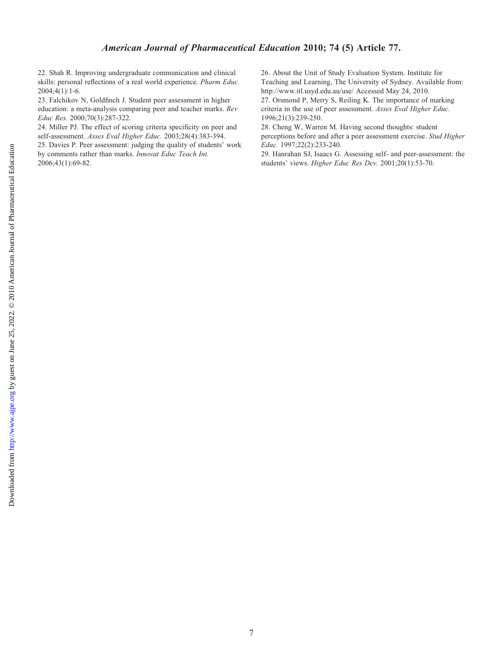22. Shah R. Improving undergraduate communication and clinical skills: personal reflections of a real world experience. Pharm Educ. 2004;4(1):1-6.

23. Falchikov N, Goldfinch J. Student peer assessment in higher education: a meta-analysis comparing peer and teacher marks. Rev Educ Res. 2000;70(3):287-322.

24. Miller PJ. The effect of scoring criteria specificity on peer and self-assessment. Asses Eval Higher Educ. 2003;28(4):383-394.

25. Davies P. Peer assessment: judging the quality of students' work by comments rather than marks. Innovat Educ Teach Int. 2006;43(1):69-82.

26. About the Unit of Study Evaluation System. Institute for Teaching and Learning, The University of Sydney. Available from: http://www.itl.usyd.edu.au/use/ Accessed May 24, 2010. 27. Orsmond P, Merry S, Reiling K. The importance of marking criteria in the use of peer assessment. Asses Eval Higher Educ. 1996;21(3):239-250.

28. Cheng W, Warren M. Having second thoughts: student perceptions before and after a peer assessment exercise. Stud Higher Educ. 1997;22(2):233-240.

29. Hanrahan SJ, Isaacs G. Assessing self- and peer-assessment: the students' views. Higher Educ Res Dev. 2001;20(1):53-70.